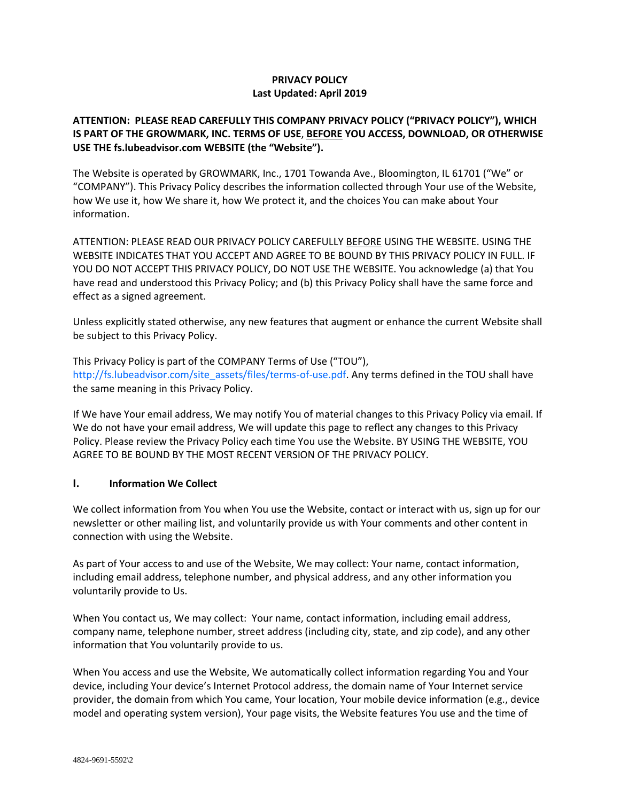# **PRIVACY POLICY Last Updated: April 2019**

## **ATTENTION: PLEASE READ CAREFULLY THIS COMPANY PRIVACY POLICY ("PRIVACY POLICY"), WHICH IS PART OF THE GROWMARK, INC. TERMS OF USE**, **BEFORE YOU ACCESS, DOWNLOAD, OR OTHERWISE USE THE fs.lubeadvisor.com WEBSITE (the "Website").**

The Website is operated by GROWMARK, Inc., 1701 Towanda Ave., Bloomington, IL 61701 ("We" or "COMPANY"). This Privacy Policy describes the information collected through Your use of the Website, how We use it, how We share it, how We protect it, and the choices You can make about Your information.

ATTENTION: PLEASE READ OUR PRIVACY POLICY CAREFULLY BEFORE USING THE WEBSITE. USING THE WEBSITE INDICATES THAT YOU ACCEPT AND AGREE TO BE BOUND BY THIS PRIVACY POLICY IN FULL. IF YOU DO NOT ACCEPT THIS PRIVACY POLICY, DO NOT USE THE WEBSITE. You acknowledge (a) that You have read and understood this Privacy Policy; and (b) this Privacy Policy shall have the same force and effect as a signed agreement.

Unless explicitly stated otherwise, any new features that augment or enhance the current Website shall be subject to this Privacy Policy.

This Privacy Policy is part of the COMPANY Terms of Use ("TOU"), [http://fs.lubeadvisor.com/site\\_assets/files/terms-of-use.pdf.](http://fs.lubeadvisor.com/site_assets/files/terms-of-use.pdf) Any terms defined in the TOU shall have the same meaning in this Privacy Policy.

If We have Your email address, We may notify You of material changes to this Privacy Policy via email. If We do not have your email address, We will update this page to reflect any changes to this Privacy Policy. Please review the Privacy Policy each time You use the Website. BY USING THE WEBSITE, YOU AGREE TO BE BOUND BY THE MOST RECENT VERSION OF THE PRIVACY POLICY.

### **I. Information We Collect**

We collect information from You when You use the Website, contact or interact with us, sign up for our newsletter or other mailing list, and voluntarily provide us with Your comments and other content in connection with using the Website.

As part of Your access to and use of the Website, We may collect: Your name, contact information, including email address, telephone number, and physical address, and any other information you voluntarily provide to Us.

When You contact us, We may collect: Your name, contact information, including email address, company name, telephone number, street address (including city, state, and zip code), and any other information that You voluntarily provide to us.

When You access and use the Website, We automatically collect information regarding You and Your device, including Your device's Internet Protocol address, the domain name of Your Internet service provider, the domain from which You came, Your location, Your mobile device information (e.g., device model and operating system version), Your page visits, the Website features You use and the time of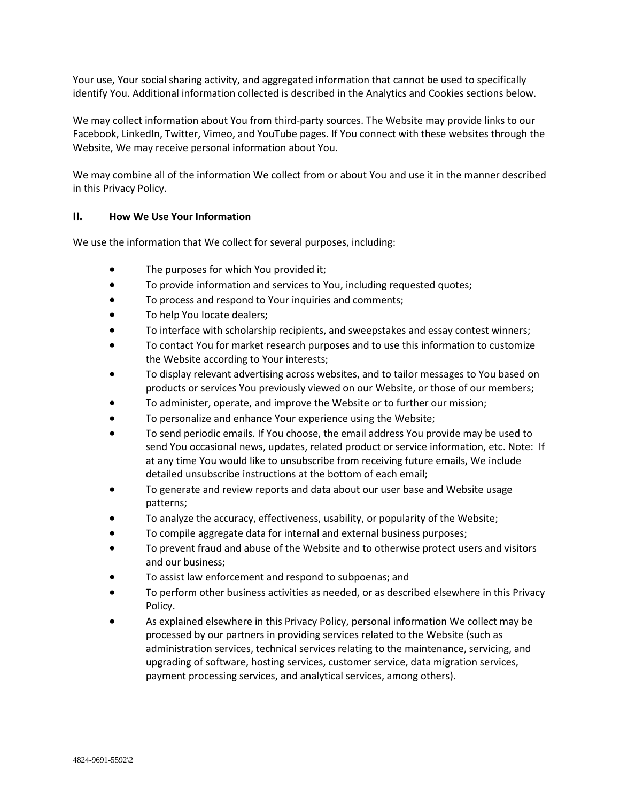Your use, Your social sharing activity, and aggregated information that cannot be used to specifically identify You. Additional information collected is described in the Analytics and Cookies sections below.

We may collect information about You from third-party sources. The Website may provide links to our Facebook, LinkedIn, Twitter, Vimeo, and YouTube pages. If You connect with these websites through the Website, We may receive personal information about You.

We may combine all of the information We collect from or about You and use it in the manner described in this Privacy Policy.

### **II. How We Use Your Information**

We use the information that We collect for several purposes, including:

- The purposes for which You provided it;
- To provide information and services to You, including requested quotes;
- To process and respond to Your inquiries and comments;
- To help You locate dealers;
- To interface with scholarship recipients, and sweepstakes and essay contest winners;
- To contact You for market research purposes and to use this information to customize the Website according to Your interests;
- To display relevant advertising across websites, and to tailor messages to You based on products or services You previously viewed on our Website, or those of our members;
- To administer, operate, and improve the Website or to further our mission;
- To personalize and enhance Your experience using the Website;
- To send periodic emails. If You choose, the email address You provide may be used to send You occasional news, updates, related product or service information, etc. Note: If at any time You would like to unsubscribe from receiving future emails, We include detailed unsubscribe instructions at the bottom of each email;
- To generate and review reports and data about our user base and Website usage patterns;
- To analyze the accuracy, effectiveness, usability, or popularity of the Website;
- To compile aggregate data for internal and external business purposes;
- To prevent fraud and abuse of the Website and to otherwise protect users and visitors and our business;
- To assist law enforcement and respond to subpoenas; and
- To perform other business activities as needed, or as described elsewhere in this Privacy Policy.
- As explained elsewhere in this Privacy Policy, personal information We collect may be processed by our partners in providing services related to the Website (such as administration services, technical services relating to the maintenance, servicing, and upgrading of software, hosting services, customer service, data migration services, payment processing services, and analytical services, among others).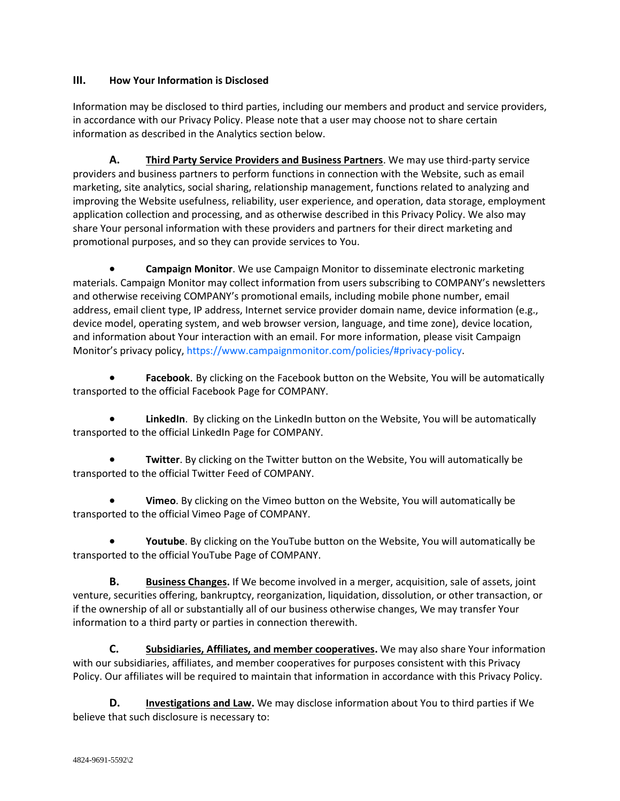# **III. How Your Information is Disclosed**

Information may be disclosed to third parties, including our members and product and service providers, in accordance with our Privacy Policy. Please note that a user may choose not to share certain information as described in the Analytics section below.

**A. Third Party Service Providers and Business Partners**. We may use third-party service providers and business partners to perform functions in connection with the Website, such as email marketing, site analytics, social sharing, relationship management, functions related to analyzing and improving the Website usefulness, reliability, user experience, and operation, data storage, employment application collection and processing, and as otherwise described in this Privacy Policy. We also may share Your personal information with these providers and partners for their direct marketing and promotional purposes, and so they can provide services to You.

• **Campaign Monitor**. We use Campaign Monitor to disseminate electronic marketing materials. Campaign Monitor may collect information from users subscribing to COMPANY's newsletters and otherwise receiving COMPANY's promotional emails, including mobile phone number, email address, email client type, IP address, Internet service provider domain name, device information (e.g., device model, operating system, and web browser version, language, and time zone), device location, and information about Your interaction with an email. For more information, please visit Campaign Monitor's privacy policy, [https://www.campaignmonitor.com/policies/#privacy-policy.](https://www.campaignmonitor.com/policies/#privacy-policy)

• **Facebook**. By clicking on the Facebook button on the Website, You will be automatically transported to the official Facebook Page for COMPANY.

• **LinkedIn**. By clicking on the LinkedIn button on the Website, You will be automatically transported to the official LinkedIn Page for COMPANY.

• **Twitter**. By clicking on the Twitter button on the Website, You will automatically be transported to the official Twitter Feed of COMPANY.

• **Vimeo**. By clicking on the Vimeo button on the Website, You will automatically be transported to the official Vimeo Page of COMPANY.

• **Youtube**. By clicking on the YouTube button on the Website, You will automatically be transported to the official YouTube Page of COMPANY.

**B. Business Changes.** If We become involved in a merger, acquisition, sale of assets, joint venture, securities offering, bankruptcy, reorganization, liquidation, dissolution, or other transaction, or if the ownership of all or substantially all of our business otherwise changes, We may transfer Your information to a third party or parties in connection therewith.

**C. Subsidiaries, Affiliates, and member cooperatives.** We may also share Your information with our subsidiaries, affiliates, and member cooperatives for purposes consistent with this Privacy Policy. Our affiliates will be required to maintain that information in accordance with this Privacy Policy.

**D. Investigations and Law.** We may disclose information about You to third parties if We believe that such disclosure is necessary to: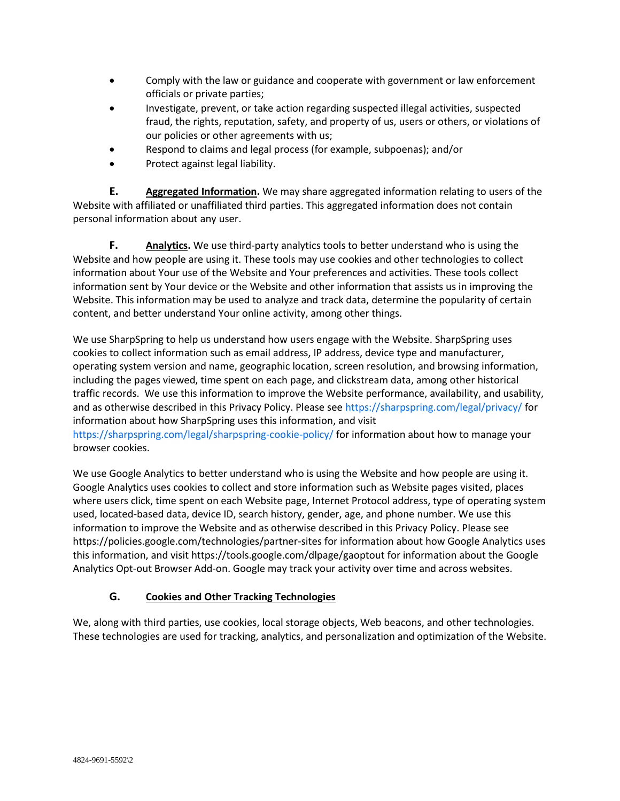- Comply with the law or guidance and cooperate with government or law enforcement officials or private parties;
- Investigate, prevent, or take action regarding suspected illegal activities, suspected fraud, the rights, reputation, safety, and property of us, users or others, or violations of our policies or other agreements with us;
- Respond to claims and legal process (for example, subpoenas); and/or
- Protect against legal liability.

**E. Aggregated Information.** We may share aggregated information relating to users of the Website with affiliated or unaffiliated third parties. This aggregated information does not contain personal information about any user.

**F. Analytics.** We use third-party analytics tools to better understand who is using the Website and how people are using it. These tools may use cookies and other technologies to collect information about Your use of the Website and Your preferences and activities. These tools collect information sent by Your device or the Website and other information that assists us in improving the Website. This information may be used to analyze and track data, determine the popularity of certain content, and better understand Your online activity, among other things.

We use SharpSpring to help us understand how users engage with the Website. SharpSpring uses cookies to collect information such as email address, IP address, device type and manufacturer, operating system version and name, geographic location, screen resolution, and browsing information, including the pages viewed, time spent on each page, and clickstream data, among other historical traffic records. We use this information to improve the Website performance, availability, and usability, and as otherwise described in this Privacy Policy. Please see<https://sharpspring.com/legal/privacy/> for information about how SharpSpring uses this information, and visit

<https://sharpspring.com/legal/sharpspring-cookie-policy/> for information about how to manage your browser cookies.

We use Google Analytics to better understand who is using the Website and how people are using it. Google Analytics uses cookies to collect and store information such as Website pages visited, places where users click, time spent on each Website page, Internet Protocol address, type of operating system used, located-based data, device ID, search history, gender, age, and phone number. We use this information to improve the Website and as otherwise described in this Privacy Policy. Please see <https://policies.google.com/technologies/partner-sites> for information about how Google Analytics uses this information, and visit<https://tools.google.com/dlpage/gaoptout> for information about the Google Analytics Opt-out Browser Add-on. Google may track your activity over time and across websites.

# **G. Cookies and Other Tracking Technologies**

We, along with third parties, use cookies, local storage objects, Web beacons, and other technologies. These technologies are used for tracking, analytics, and personalization and optimization of the Website.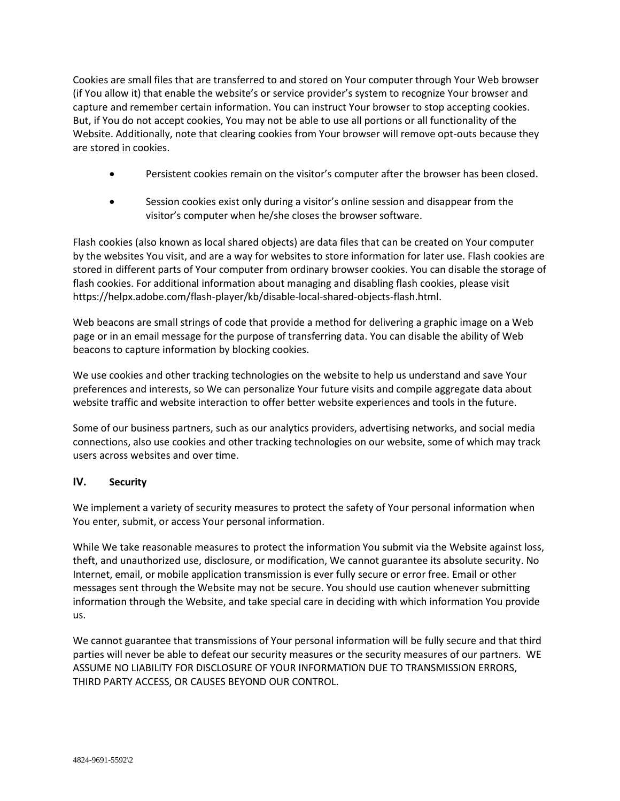Cookies are small files that are transferred to and stored on Your computer through Your Web browser (if You allow it) that enable the website's or service provider's system to recognize Your browser and capture and remember certain information. You can instruct Your browser to stop accepting cookies. But, if You do not accept cookies, You may not be able to use all portions or all functionality of the Website. Additionally, note that clearing cookies from Your browser will remove opt-outs because they are stored in cookies.

- Persistent cookies remain on the visitor's computer after the browser has been closed.
- Session cookies exist only during a visitor's online session and disappear from the visitor's computer when he/she closes the browser software.

Flash cookies (also known as local shared objects) are data files that can be created on Your computer by the websites You visit, and are a way for websites to store information for later use. Flash cookies are stored in different parts of Your computer from ordinary browser cookies. You can disable the storage of flash cookies. For additional information about managing and disabling flash cookies, please visit https://helpx.adobe.com/flash-player/kb/disable-local-shared-objects-flash.html.

Web beacons are small strings of code that provide a method for delivering a graphic image on a Web page or in an email message for the purpose of transferring data. You can disable the ability of Web beacons to capture information by blocking cookies.

We use cookies and other tracking technologies on the website to help us understand and save Your preferences and interests, so We can personalize Your future visits and compile aggregate data about website traffic and website interaction to offer better website experiences and tools in the future.

Some of our business partners, such as our analytics providers, advertising networks, and social media connections, also use cookies and other tracking technologies on our website, some of which may track users across websites and over time.

# **IV. Security**

We implement a variety of security measures to protect the safety of Your personal information when You enter, submit, or access Your personal information.

While We take reasonable measures to protect the information You submit via the Website against loss, theft, and unauthorized use, disclosure, or modification, We cannot guarantee its absolute security. No Internet, email, or mobile application transmission is ever fully secure or error free. Email or other messages sent through the Website may not be secure. You should use caution whenever submitting information through the Website, and take special care in deciding with which information You provide us.

We cannot guarantee that transmissions of Your personal information will be fully secure and that third parties will never be able to defeat our security measures or the security measures of our partners. WE ASSUME NO LIABILITY FOR DISCLOSURE OF YOUR INFORMATION DUE TO TRANSMISSION ERRORS, THIRD PARTY ACCESS, OR CAUSES BEYOND OUR CONTROL.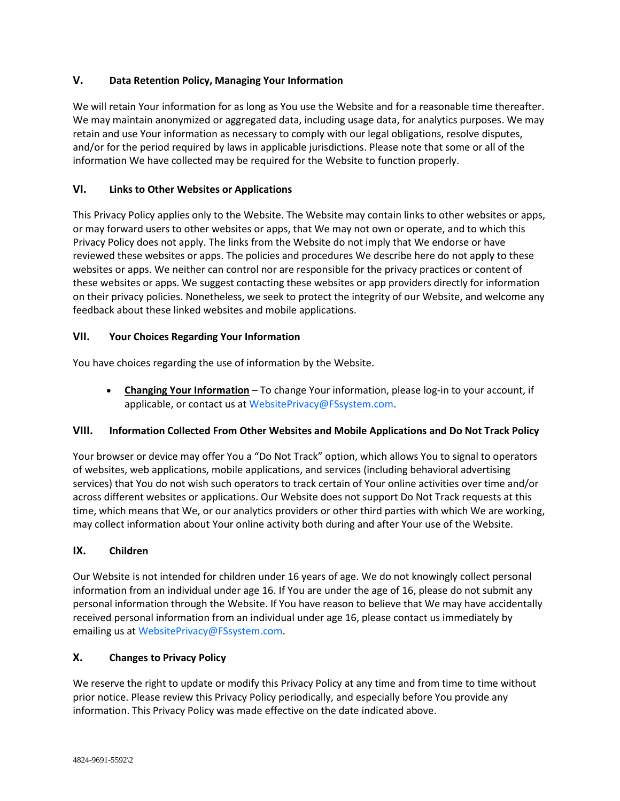# **V. Data Retention Policy, Managing Your Information**

We will retain Your information for as long as You use the Website and for a reasonable time thereafter. We may maintain anonymized or aggregated data, including usage data, for analytics purposes. We may retain and use Your information as necessary to comply with our legal obligations, resolve disputes, and/or for the period required by laws in applicable jurisdictions. Please note that some or all of the information We have collected may be required for the Website to function properly.

## **VI. Links to Other Websites or Applications**

This Privacy Policy applies only to the Website. The Website may contain links to other websites or apps, or may forward users to other websites or apps, that We may not own or operate, and to which this Privacy Policy does not apply. The links from the Website do not imply that We endorse or have reviewed these websites or apps. The policies and procedures We describe here do not apply to these websites or apps. We neither can control nor are responsible for the privacy practices or content of these websites or apps. We suggest contacting these websites or app providers directly for information on their privacy policies. Nonetheless, we seek to protect the integrity of our Website, and welcome any feedback about these linked websites and mobile applications.

### **VII. Your Choices Regarding Your Information**

You have choices regarding the use of information by the Website.

• **Changing Your Information** – To change Your information, please log-in to your account, if applicable, or contact us at [WebsitePrivacy@FSsystem.com.](mailto:WebsitePrivacy@FSsystem.com)

### **VIII. Information Collected From Other Websites and Mobile Applications and Do Not Track Policy**

Your browser or device may offer You a "Do Not Track" option, which allows You to signal to operators of websites, web applications, mobile applications, and services (including behavioral advertising services) that You do not wish such operators to track certain of Your online activities over time and/or across different websites or applications. Our Website does not support Do Not Track requests at this time, which means that We, or our analytics providers or other third parties with which We are working, may collect information about Your online activity both during and after Your use of the Website.

### **IX. Children**

Our Website is not intended for children under 16 years of age. We do not knowingly collect personal information from an individual under age 16. If You are under the age of 16, please do not submit any personal information through the Website. If You have reason to believe that We may have accidentally received personal information from an individual under age 16, please contact us immediately by emailing us at [WebsitePrivacy@FSsystem.com.](mailto:WebsitePrivacy@FSsystem.com)

### **X. Changes to Privacy Policy**

We reserve the right to update or modify this Privacy Policy at any time and from time to time without prior notice. Please review this Privacy Policy periodically, and especially before You provide any information. This Privacy Policy was made effective on the date indicated above.